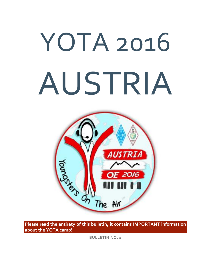# YOTA 2016 AUSTRIA



**Please read the entirety of this bulletin, it contains IMPORTANT information about the YOTA camp!**

**BULLETIN NO. 1**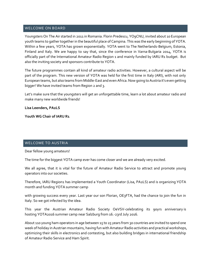#### WELCOME ON BOARD

Youngsters On The Air started in 2011 in Romania. Florin Predescu, YO9CNU, invited about 10 European youth teams to gather together in the beautiful place of Campina. This was the early beginning of YOTA. Within a few years, YOTA has grown exponentially. YOTA went to The Netherlands-Belgium, Estonia, Finland and Italy. We are happy to say that, since the conference in Varna-Bulgaria 2014, YOTA is officially part of the International Amateur Radio Region 1 and mainly funded by IARU R1 budget. But also the inviting society and sponsors contribute to YOTA.

The future programmes contain all kind of amateur radio activities. However, a cultural aspect will be part of the program. This new version of YOTA was held for the first time in Italy (ARI), with not only European teams, but also teams from Middle-East and even Africa. Now going to Austria it's even getting bigger! We have invited teams from Region 2 and 3.

Let's make sure that the youngsters will get an unforgettable time, learn a lot about amateur radio and make many new worldwide friends!

**Lisa Leenders, PA2LS** 

**Youth WG Chair of IARU R1**

## WELCOME TO AUSTRIA

Dear fellow young amateurs!

The time for the biggest YOTA camp ever has come closer and we are already very excited.

We all agree, that it is vital for the future of Amateur Radio Service to attract and promote young operators into our societies.

Therefore, IARU Region1 has implemented a Youth Coordinator (Lisa, PA2LS) and is organizing YOTA month and funding YOTA summer camp

with growing success every year. Last year our son Florian, OE3FTA, had the chance to join the fun in Italy. So we got infected by the idea.

This year the Austrian Amateur Radio Society OeVSV-celebrating its 90yrs anniversary is hosting YOTA2016 summer camp near Salzburg from 16.-23rd July 2016.

About 110 young ham operators in age between 15 to 25 years from 30 countries are invited to spend one week of holiday in Austrian mountains, having fun with Amateur Radio activities and practical workshops, optimizing their skills in electronics and contesting, but also building bridges in international friendship of Amateur Radio Service and Ham Spirit.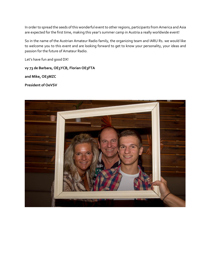In order to spread the seeds of this wonderful event to other regions, participants from America and Asia are expected for the first time, making this year's summer camp in Austria a really worldwide event!

So in the name of the Austrian Amateur Radio family, the organizing team and IARU R1. we would like to welcome you to this event and are looking forward to get to know your personality, your ideas and passion for the future of Amateur Radio.

Let's have fun and good DX!

**vy 73 de Barbara, OE3YCB, Florian OE3FTA** 

**and Mike, OE3MZC**

**President of OeVSV**

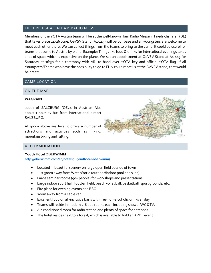#### FRIEDRICHSHAFEN HAM RADIO MESSE

Members of the YOTA Austria team will be at the well-known Ham Radio Messe in Friedrichshafen (DL) that takes place 24-26 June. OeVSV Stand (A1-145) will be our base and all youngsters are welcome to meet each other there. We can collect things from the teams to bring to the camp. It could be useful for teams that come to Austria by plane. Example: Things like food & drinks for intercultural evenings takes a lot of space which is expensive on the plane. We set an appointment at OeVSV Stand at A1-145 for Saturday at 16:30 for a ceremony with ARI to hand over YOTA key and official YOTA flag. If all Youngsters/Teams who have the possibility to go to FHN could meet us at the OeVSV stand, that would be great!

## CAMP LOCATION

#### ON THE MAP

#### **WAGRAIN**

south of SALZBURG (OE2), in Austrian Alps about 1 hour by bus from international airport SALZBURG.

At 900m above sea level it offers a number of attractions and activities such as hiking, mountain biking and rafting.



## ACCOMMODATION

#### **Youth Hotel OBERWIMM**

**<http://oberwimm.com/en/hotels/jugendhotel-oberwimm/>**

- Located in beautiful scenery on large open field outside of town
- Just 300m away from WaterWorld (outdoor/indoor pool and slide)
- Large seminar rooms (90+ people) for workshops and presentations
- Large indoor sport hall, football field, beach volleyball, basketball, sport grounds, etc.
- Fire place for evening events and BBQ
- 200m away from a cable car
- Excellent food on all-inclusive basis with free non-alcoholic drinks all day
- Teams will reside in modern 2-6 bed rooms each including shower/WC &TV.
- Air-conditioned room for radio station and plenty of space for antennas
- The hotel resides next to a forest, which is available to hold an ARDF event.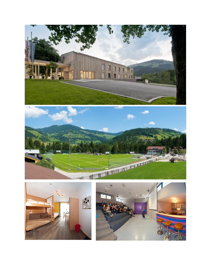





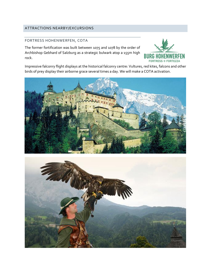## ATTRACTIONS NEARBY/EXCURSIONS

## FORTRESS HOHENWERFEN, COTA

The former fortification was built between 1075 and 1078 by the order of Archbishop Gebhard of Salzburg as a strategic bulwark atop a 155m high rock.



Impressive falconry flight displays at the historical falconry centre: Vultures, red kites, falcons and other birds of prey display their airborne grace several times a day. We will make a COTA activation.



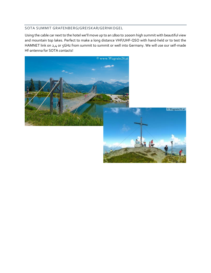## SOTA SUMMIT GRAFENBERG/GREISKAR/GERNKOGEL

Using the cable car next to the hotel we'll move up to an 1800 to 2000m high summit with beautiful view and mountain top lakes. Perfect to make a long distance VHF/UHF-QSO with hand-held or to test the HAMNET link on 2,4 or 5GHz from summit to summit or well into Germany. We will use our self-made Hf-antenna for SOTA contacts!

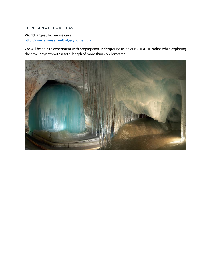# EISRIESENWELT – ICE CAVE

## **World largest frozen ice cave**

# <http://www.eisriesenwelt.at/en/home.html>

We will be able to experiment with propagation underground using our VHF/UHF radios while exploring the cave labyrinth with a total length of more than 40 kilometres.

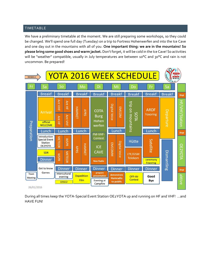## TIMETABLE

We have a preliminary timetable at the moment. We are still preparing some workshops, so they could be changed. We'll spend one full day (Tuesday) on a trip to Fortress Hohenwerfen and into the Ice Cave and one day out in the mountains with all of you. **One important thing: we are in the mountains! So please bring some good shoes and warm jacket.** Don't forget, it will be cold in the Ice Cave! So activities will be "weather" compatible, usually in July temperatures are between 10°C and 30°C and rain is not uncommon. Be prepared!



During all times keep the YOTA-Special Event Station OE2YOTA up and running on HF and VHF! …and HAVE FUN!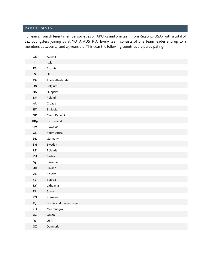## PARTICIPANTS

30 Teams from different member societies of IARU R1 and one team from Region2 (USA), with a total of 114 youngsters joining us at YOTA AUSTRIA. Every team consists of one team leader and up to 3 members between 15 and 25 years old. This year the following countries are participating:

| OE              | Austria                |
|-----------------|------------------------|
| $\mathbf I$     | Italy                  |
| ES              | Estonia                |
| ${\mathsf G}$   | UK                     |
| PA              | The Netherlands        |
| ON              | Belgium                |
| HA              | Hungary                |
| SP              | Poland                 |
| 9A              | Croatia                |
| ET              | Ethiopia               |
| OK              | Czech Republic         |
| HB <sub>9</sub> | Switzerland            |
| OM              | Slowakia               |
| <b>ZS</b>       | South Africa           |
| DL              | Germany                |
| <b>SM</b>       | Sweden                 |
| LZ              | Bulgaria               |
| YU              | Serbia                 |
| S <sub>5</sub>  | Slovenia               |
| OH              | Finland                |
| Z <sub>6</sub>  | Kosovo                 |
| 3V              | Tunisia                |
| LY              | Lithuania              |
| EA              | Spain                  |
| YO              | Romania                |
| E <sub>7</sub>  | Bosnia and Herzegovina |
| 40              | Montenegro             |
| $\mathsf{A}_4$  | Oman                   |
| W               | <b>USA</b>             |
| <b>OZ</b>       | Denmark                |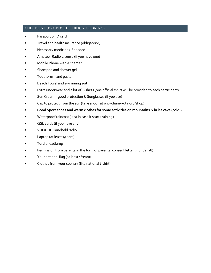## CHECKLIST (PROPOSED THINGS TO BRING)

- Passport or ID card
- Travel and health insurance (obligatory!)
- Necessary medicines if needed
- Amateur Radio License (if you have one)
- Mobile Phone with a charger
- Shampoo and shower gel
- Toothbrush and paste
- Beach Towel and swimming suit
- Extra underwear and a lot of T-shirts (one official tshirt will be provided to each participant)
- Sun Cream good protection & Sunglasses (if you use)
- Cap to protect from the sun (take a look at www.ham-yota.org/shop)
- **Good Sport shoes and warm clothes for some activities on mountains & in ice cave (cold!)**
- Waterproof raincoat (Just in case it starts raining)
- QSL cards (if you have any)
- VHF/UHF Handheld radio
- Laptop (at least 1/team)
- Torch/headlamp
- Permission from parents in the form of parental consent letter (if under 18)
- Your national flag (at least 1/team)
- Clothes from your country (like national t-shirt)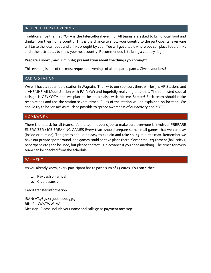## INTERCULTURAL EVENING

Tradition since the first YOTA is the Intercultural evening. All teams are asked to bring local food and drinks from their home country. This is the chance to show your country to the participants, everyone will taste the local foods and drinks brought by you. You will get a table where you can place food/drinks and other attributes to show your host country. Recommended is to bring a country flag.

#### **Prepare a short (max. 1 minute) presentation about the things you brought.**

This evening is one of the most requested evenings of all the participants. Give it your best!

#### RADIO STATION

We will have a super radio station in Wagrain. Thanky to our sponsors there will be 3-4 HF-Stations and a VHF/UHF All-Mode Station with PA (1kW) and hopefully really big antennas. The requested special callsign is OE2YOTA and we plan do be on air also with Meteor Scatter! Each team should make reservations and use the station several times! Rules of the station will be explained on location. We should try to be "on air" as much as possible to spread awareness of our activity and YOTA.

#### HOMEWORK

There is one task for all teams. It's the team leader's job to make sure everyone is involved: PREPARE ENERGIZER / ICE BREAKING GAMES Every team should prepare some small games that we can play (inside or outside). The games should be easy to explain and take 10, 15 minutes max. Remember we have our private sport ground, and games could be take place there! Some small equipment (ball, sticks, paper/pens etc.) can be used, but please contact us in advance if you need anything. The times for every team can be checked from the schedule.

## PAYMENT

As you already know, every participant has to pay a sum of 25 euros. You can either:

- 1. Pay cash on arrival
- 2. Credit transfer

Credit transfer information:

IBAN: AT46 3241 3000 0011 9313 BIN: RLNWATWWLAA Message: Please include your name and callsign as payment message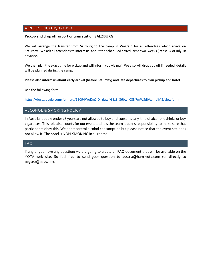## AIRPORT PICKUP/DROP OFF

#### **Pickup and drop off airport or train station SALZBURG**

We will arrange the transfer from Salzburg to the camp in Wagrain for all attendees which arrive on Saturday. We ask all attendees to inform us about the scheduled arrival time two weeks (latest 04 of July) in advance.

We then plan the exact time for pickup and will inform you via mail. We also will drop you off if needed, details will be planned during the camp.

#### **Please also inform us about early arrival (before Saturday) and late departures to plan pickup and hotel.**

Use the following form:

[https://docs.google.com/forms/d/15C94WoKm2ID4ziuwKGEzZ\\_36bwnC3N7mWSdbAamoiM8/viewform](https://docs.google.com/forms/d/15C94WoKm2ID4ziuwKGEzZ_36bwnC3N7mWSdbAamoiM8/viewform)

#### ALCOHOL & SMOKING POLICY

In Austria, people under 18 years are not allowed to buy and consume any kind of alcoholic drinks or buy cigarettes. This rule also counts for our event and it is the team leader's responsibility to make sure that participants obey this. We don't control alcohol consumption but please notice that the event site does not allow it. The hotel is NON-SMOKING in all rooms.

#### FAQ

If any of you have any question: we are going to create an FAQ document that will be available on the YOTA web site. So feel free to send your question to austria@ham-yota.com (or directly to oe3seu@oevsv.at).